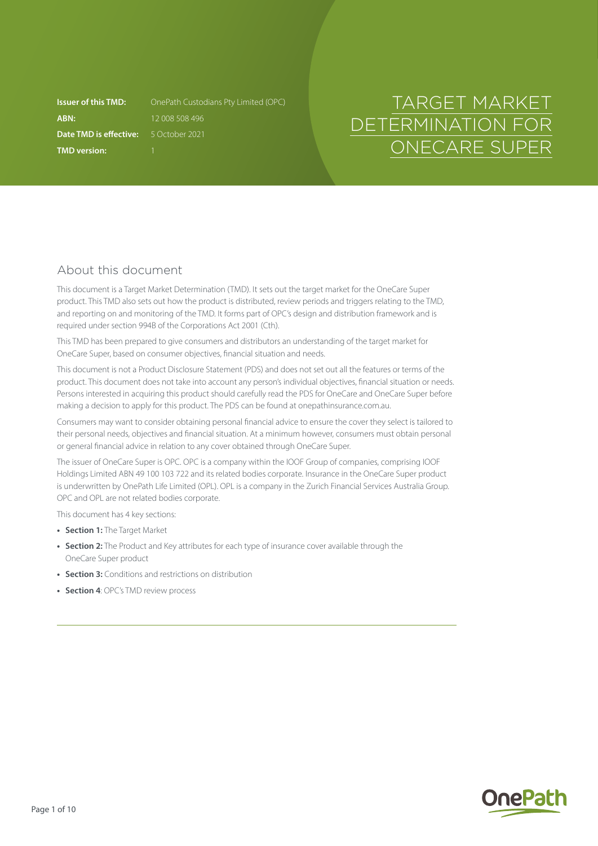**ABN:** 12 008 508 496 **Date TMD is effective:** 5 October 2021 **TMD version:** 1

**Issuer of this TMD:** OnePath Custodians Pty Limited (OPC)

# TARGET MARKET DETERMINATION FOR ONECARE SUPER

# About this document

This document is a Target Market Determination (TMD). It sets out the target market for the OneCare Super product. This TMD also sets out how the product is distributed, review periods and triggers relating to the TMD, and reporting on and monitoring of the TMD. It forms part of OPC's design and distribution framework and is required under section 994B of the Corporations Act 2001 (Cth).

This TMD has been prepared to give consumers and distributors an understanding of the target market for OneCare Super, based on consumer objectives, financial situation and needs.

This document is not a Product Disclosure Statement (PDS) and does not set out all the features or terms of the product. This document does not take into account any person's individual objectives, financial situation or needs. Persons interested in acquiring this product should carefully read the PDS for OneCare and OneCare Super before making a decision to apply for this product. The PDS can be found at [onepathinsurance.com.au.](http://onepathinsurance.com.au)

Consumers may want to consider obtaining personal financial advice to ensure the cover they select is tailored to their personal needs, objectives and financial situation. At a minimum however, consumers must obtain personal or general financial advice in relation to any cover obtained through OneCare Super.

The issuer of OneCare Super is OPC. OPC is a company within the IOOF Group of companies, comprising IOOF Holdings Limited ABN 49 100 103 722 and its related bodies corporate. Insurance in the OneCare Super product is underwritten by OnePath Life Limited (OPL). OPL is a company in the Zurich Financial Services Australia Group. OPC and OPL are not related bodies corporate.

This document has 4 key sections:

- **• Section 1:** The Target Market
- **• Section 2:** The Product and Key attributes for each type of insurance cover available through the OneCare Super product
- **• Section 3:** Conditions and restrictions on distribution
- **• Section 4**: OPC's TMD review process

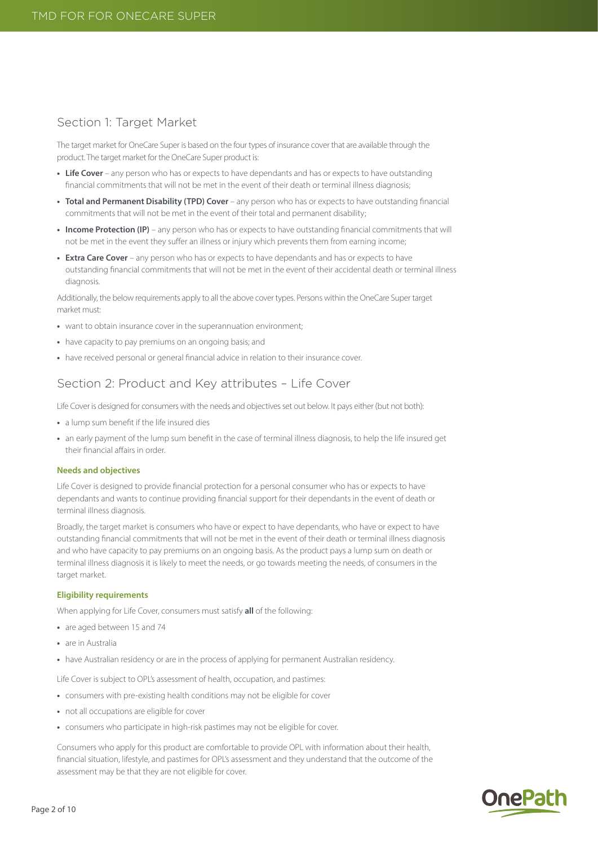# Section 1: Target Market

The target market for OneCare Super is based on the four types of insurance cover that are available through the product. The target market for the OneCare Super product is:

- Life Cover any person who has or expects to have dependants and has or expects to have outstanding financial commitments that will not be met in the event of their death or terminal illness diagnosis;
- **• Total and Permanent Disability (TPD) Cover**  any person who has or expects to have outstanding financial commitments that will not be met in the event of their total and permanent disability;
- **• Income Protection (IP)** any person who has or expects to have outstanding financial commitments that will not be met in the event they suffer an illness or injury which prevents them from earning income;
- **• Extra Care Cover** any person who has or expects to have dependants and has or expects to have outstanding financial commitments that will not be met in the event of their accidental death or terminal illness diagnosis.

Additionally, the below requirements apply to all the above cover types. Persons within the OneCare Super target market must:

- **•** want to obtain insurance cover in the superannuation environment;
- **•** have capacity to pay premiums on an ongoing basis; and
- **•** have received personal or general financial advice in relation to their insurance cover.

# Section 2: Product and Key attributes – Life Cover

Life Cover is designed for consumers with the needs and objectives set out below. It pays either (but not both):

- **•** a lump sum benefit if the life insured dies
- **•** an early payment of the lump sum benefit in the case of terminal illness diagnosis, to help the life insured get their financial affairs in order.

#### **Needs and objectives**

Life Cover is designed to provide financial protection for a personal consumer who has or expects to have dependants and wants to continue providing financial support for their dependants in the event of death or terminal illness diagnosis.

Broadly, the target market is consumers who have or expect to have dependants, who have or expect to have outstanding financial commitments that will not be met in the event of their death or terminal illness diagnosis and who have capacity to pay premiums on an ongoing basis. As the product pays a lump sum on death or terminal illness diagnosis it is likely to meet the needs, or go towards meeting the needs, of consumers in the target market.

#### **Eligibility requirements**

When applying for Life Cover, consumers must satisfy **all** of the following:

- **•** are aged between 15 and 74
- **•** are in Australia
- **•** have Australian residency or are in the process of applying for permanent Australian residency.

Life Cover is subject to OPL's assessment of health, occupation, and pastimes:

- **•** consumers with pre-existing health conditions may not be eligible for cover
- **•** not all occupations are eligible for cover
- **•** consumers who participate in high-risk pastimes may not be eligible for cover.

Consumers who apply for this product are comfortable to provide OPL with information about their health, financial situation, lifestyle, and pastimes for OPL's assessment and they understand that the outcome of the assessment may be that they are not eligible for cover.

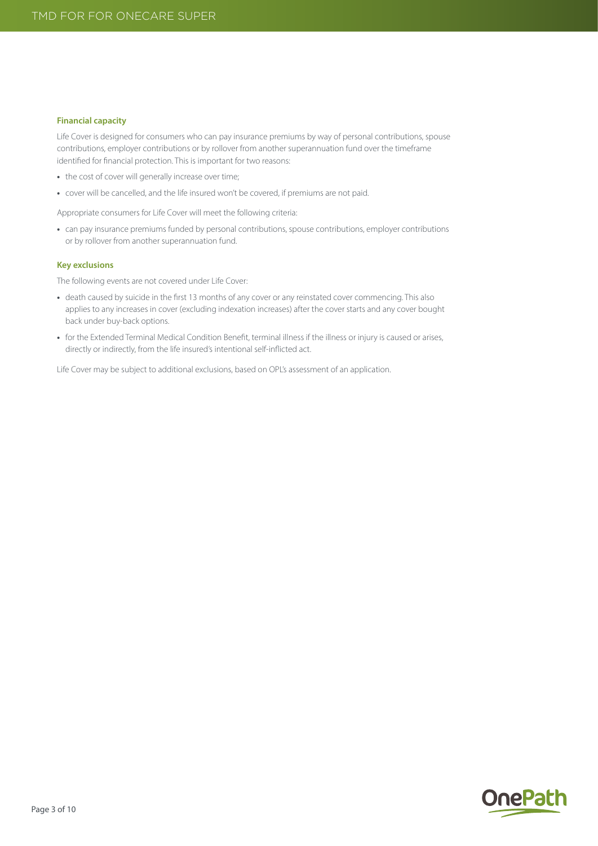#### **Financial capacity**

Life Cover is designed for consumers who can pay insurance premiums by way of personal contributions, spouse contributions, employer contributions or by rollover from another superannuation fund over the timeframe identified for financial protection. This is important for two reasons:

- **•** the cost of cover will generally increase over time;
- **•** cover will be cancelled, and the life insured won't be covered, if premiums are not paid.

Appropriate consumers for Life Cover will meet the following criteria:

• can pay insurance premiums funded by personal contributions, spouse contributions, employer contributions or by rollover from another superannuation fund.

#### **Key exclusions**

The following events are not covered under Life Cover:

- **•** death caused by suicide in the first 13 months of any cover or any reinstated cover commencing. This also applies to any increases in cover (excluding indexation increases) after the cover starts and any cover bought back under buy-back options.
- **•** for the Extended Terminal Medical Condition Benefit, terminal illness if the illness or injury is caused or arises, directly or indirectly, from the life insured's intentional self-inflicted act.

Life Cover may be subject to additional exclusions, based on OPL's assessment of an application.

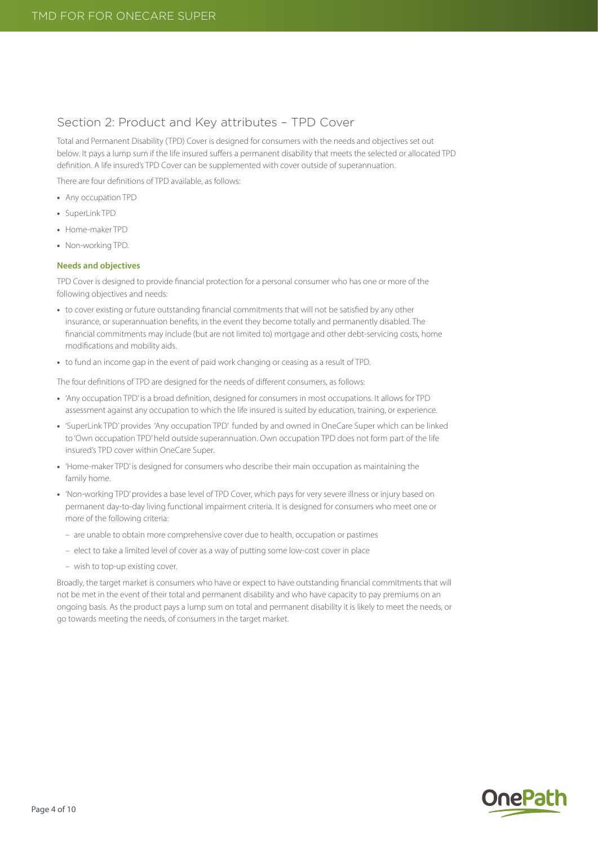# Section 2: Product and Key attributes – TPD Cover

Total and Permanent Disability (TPD) Cover is designed for consumers with the needs and objectives set out below. It pays a lump sum if the life insured suffers a permanent disability that meets the selected or allocated TPD definition. A life insured's TPD Cover can be supplemented with cover outside of superannuation.

There are four definitions of TPD available, as follows:

- **•** Any occupation TPD
- **•** SuperLink TPD
- **•** Home-maker TPD
- **•** Non-working TPD.

## **Needs and objectives**

TPD Cover is designed to provide financial protection for a personal consumer who has one or more of the following objectives and needs:

- **•** to cover existing or future outstanding financial commitments that will not be satisfied by any other insurance, or superannuation benefits, in the event they become totally and permanently disabled. The financial commitments may include (but are not limited to) mortgage and other debt-servicing costs, home modifications and mobility aids.
- **•** to fund an income gap in the event of paid work changing or ceasing as a result of TPD.

The four definitions of TPD are designed for the needs of different consumers, as follows:

- **•** 'Any occupation TPD' is a broad definition, designed for consumers in most occupations. It allows for TPD assessment against any occupation to which the life insured is suited by education, training, or experience.
- **•** 'SuperLink TPD' provides 'Any occupation TPD' funded by and owned in OneCare Super which can be linked to 'Own occupation TPD' held outside superannuation. Own occupation TPD does not form part of the life insured's TPD cover within OneCare Super.
- **•** 'Home-maker TPD' is designed for consumers who describe their main occupation as maintaining the family home.
- **•** 'Non-working TPD' provides a base level of TPD Cover, which pays for very severe illness or injury based on permanent day-to-day living functional impairment criteria. It is designed for consumers who meet one or more of the following criteria:
	- are unable to obtain more comprehensive cover due to health, occupation or pastimes
	- elect to take a limited level of cover as a way of putting some low-cost cover in place
	- wish to top-up existing cover.

Broadly, the target market is consumers who have or expect to have outstanding financial commitments that will not be met in the event of their total and permanent disability and who have capacity to pay premiums on an ongoing basis. As the product pays a lump sum on total and permanent disability it is likely to meet the needs, or go towards meeting the needs, of consumers in the target market.

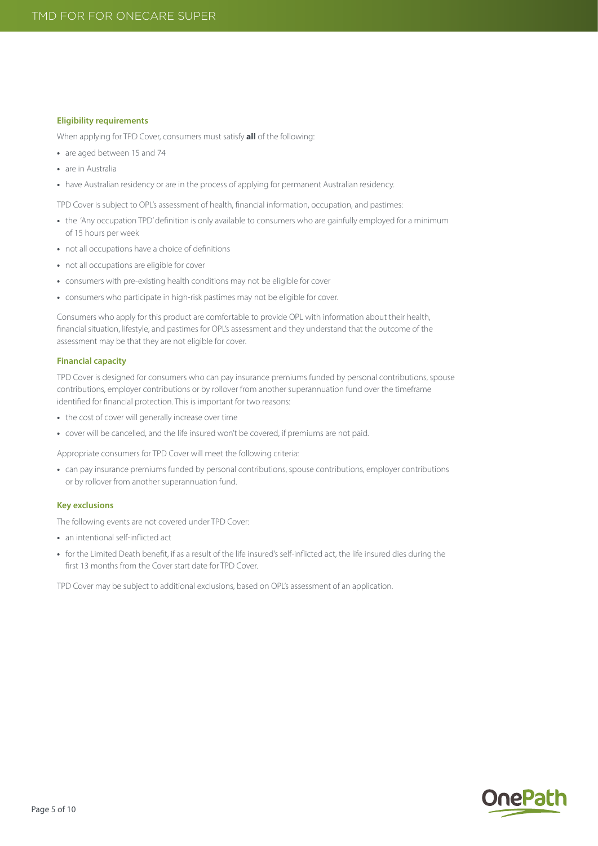#### **Eligibility requirements**

When applying for TPD Cover, consumers must satisfy **all** of the following:

- **•** are aged between 15 and 74
- **•** are in Australia
- have Australian residency or are in the process of applying for permanent Australian residency.

TPD Cover is subject to OPL's assessment of health, financial information, occupation, and pastimes:

- **•** the 'Any occupation TPD' definition is only available to consumers who are gainfully employed for a minimum of 15 hours per week
- **•** not all occupations have a choice of definitions
- **•** not all occupations are eligible for cover
- **•** consumers with pre-existing health conditions may not be eligible for cover
- **•** consumers who participate in high-risk pastimes may not be eligible for cover.

Consumers who apply for this product are comfortable to provide OPL with information about their health, financial situation, lifestyle, and pastimes for OPL's assessment and they understand that the outcome of the assessment may be that they are not eligible for cover.

## **Financial capacity**

TPD Cover is designed for consumers who can pay insurance premiums funded by personal contributions, spouse contributions, employer contributions or by rollover from another superannuation fund over the timeframe identified for financial protection. This is important for two reasons:

- **•** the cost of cover will generally increase over time
- **•** cover will be cancelled, and the life insured won't be covered, if premiums are not paid.

Appropriate consumers for TPD Cover will meet the following criteria:

**•** can pay insurance premiums funded by personal contributions, spouse contributions, employer contributions or by rollover from another superannuation fund.

## **Key exclusions**

The following events are not covered under TPD Cover:

- **•** an intentional self-inflicted act
- **•** for the Limited Death benefit, if as a result of the life insured's self-inflicted act, the life insured dies during the first 13 months from the Cover start date for TPD Cover.

TPD Cover may be subject to additional exclusions, based on OPL's assessment of an application.

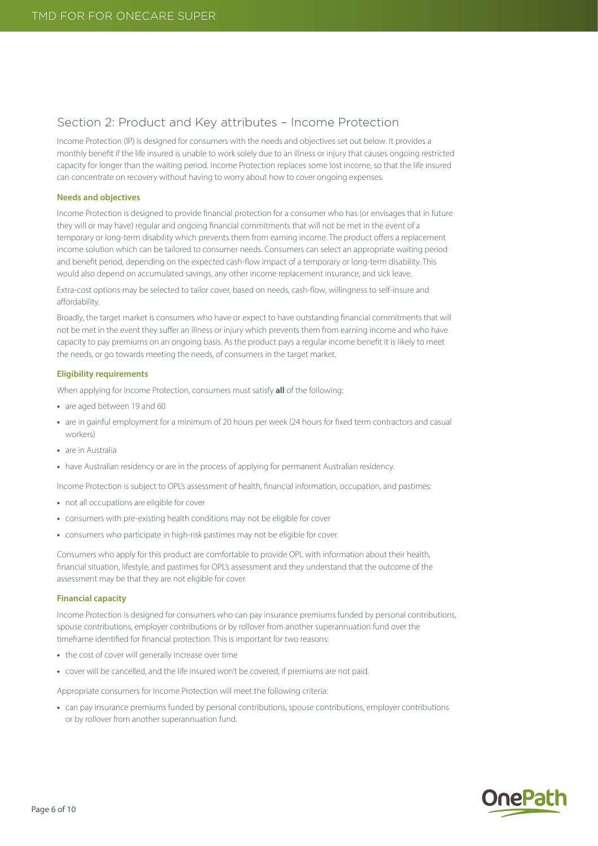# Section 2: Product and Key attributes – Income Protection

Income Protection (IP) is designed for consumers with the needs and objectives set out below. It provides a monthly benefit if the life insured is unable to work solely due to an illness or injury that causes ongoing restricted capacity for longer than the waiting period. Income Protection replaces some lost income, so that the life insured can concentrate on recovery without having to worry about how to cover ongoing expenses.

## **Needs and objectives**

Income Protection is designed to provide financial protection for a consumer who has (or envisages that in future they will or may have) regular and ongoing financial commitments that will not be met in the event of a temporary or long-term disability which prevents them from earning income. The product offers a replacement income solution which can be tailored to consumer needs. Consumers can select an appropriate waiting period and benefit period, depending on the expected cash-flow impact of a temporary or long-term disability. This would also depend on accumulated savings, any other income replacement insurance, and sick leave.

Extra-cost options may be selected to tailor cover, based on needs, cash-flow, willingness to self-insure and affordability.

Broadly, the target market is consumers who have or expect to have outstanding financial commitments that will not be met in the event they suffer an illness or injury which prevents them from earning income and who have capacity to pay premiums on an ongoing basis. As the product pays a regular income benefit it is likely to meet the needs, or go towards meeting the needs, of consumers in the target market.

#### **Eligibility requirements**

When applying for Income Protection, consumers must satisfy **all** of the following:

- **•** are aged between 19 and 60
- **•** are in gainful employment for a minimum of 20 hours per week (24 hours for fixed term contractors and casual workers)
- **•** are in Australia
- have Australian residency or are in the process of applying for permanent Australian residency.

Income Protection is subject to OPL's assessment of health, financial information, occupation, and pastimes:

- **•** not all occupations are eligible for cover
- **•** consumers with pre-existing health conditions may not be eligible for cover
- **•** consumers who participate in high-risk pastimes may not be eligible for cover.

Consumers who apply for this product are comfortable to provide OPL with information about their health, financial situation, lifestyle, and pastimes for OPL's assessment and they understand that the outcome of the assessment may be that they are not eligible for cover.

## **Financial capacity**

Income Protection is designed for consumers who can pay insurance premiums funded by personal contributions, spouse contributions, employer contributions or by rollover from another superannuation fund over the timeframe identified for financial protection. This is important for two reasons:

- **•** the cost of cover will generally increase over time
- **•** cover will be cancelled, and the life insured won't be covered, if premiums are not paid.

Appropriate consumers for Income Protection will meet the following criteria:

**•** can pay insurance premiums funded by personal contributions, spouse contributions, employer contributions or by rollover from another superannuation fund.

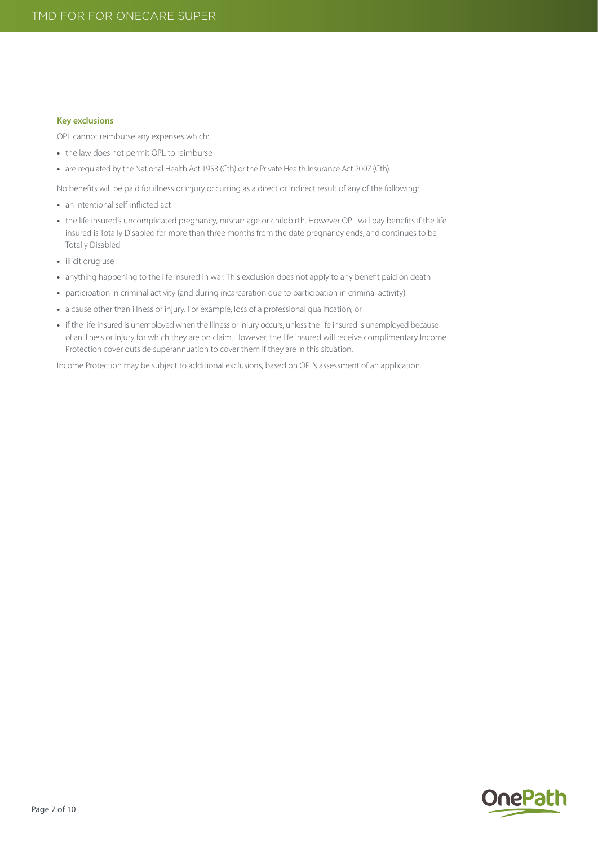#### **Key exclusions**

OPL cannot reimburse any expenses which:

- **•** the law does not permit OPL to reimburse
- **•** are regulated by the National Health Act 1953 (Cth) or the Private Health Insurance Act 2007 (Cth).

No benefits will be paid for illness or injury occurring as a direct or indirect result of any of the following:

- **•** an intentional self-inflicted act
- **•** the life insured's uncomplicated pregnancy, miscarriage or childbirth. However OPL will pay benefits if the life insured is Totally Disabled for more than three months from the date pregnancy ends, and continues to be Totally Disabled
- **•** illicit drug use
- **•** anything happening to the life insured in war. This exclusion does not apply to any benefit paid on death
- **•** participation in criminal activity (and during incarceration due to participation in criminal activity)
- **•** a cause other than illness or injury. For example, loss of a professional qualification; or
- **•** if the life insured is unemployed when the Illness or injury occurs, unless the life insured is unemployed because of an illness or injury for which they are on claim. However, the life insured will receive complimentary Income Protection cover outside superannuation to cover them if they are in this situation.

Income Protection may be subject to additional exclusions, based on OPL's assessment of an application.

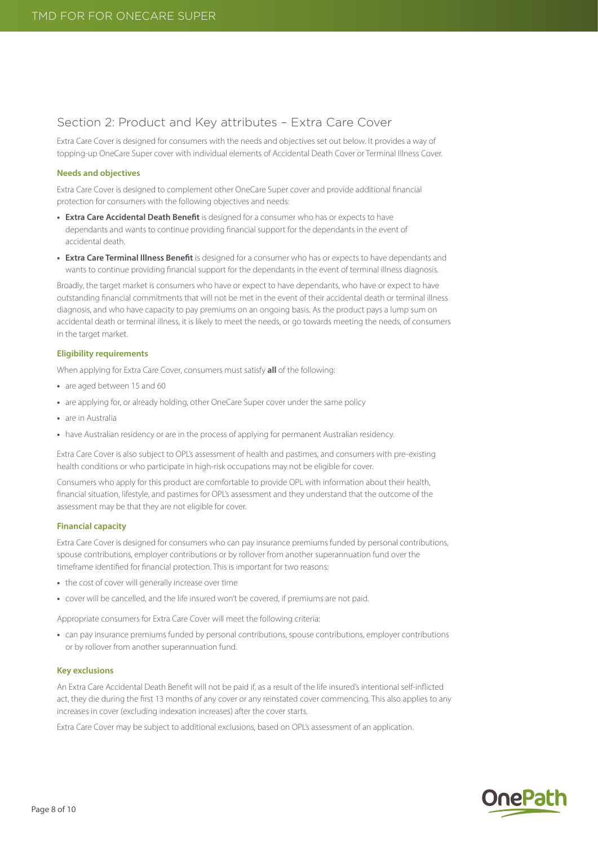# Section 2: Product and Key attributes – Extra Care Cover

Extra Care Cover is designed for consumers with the needs and objectives set out below. It provides a way of topping-up OneCare Super cover with individual elements of Accidental Death Cover or Terminal Illness Cover.

#### **Needs and objectives**

Extra Care Cover is designed to complement other OneCare Super cover and provide additional financial protection for consumers with the following objectives and needs:

- **• Extra Care Accidental Death Benefit** is designed for a consumer who has or expects to have dependants and wants to continue providing financial support for the dependants in the event of accidental death.
- **• Extra Care Terminal Illness Benefit** is designed for a consumer who has or expects to have dependants and wants to continue providing financial support for the dependants in the event of terminal illness diagnosis.

Broadly, the target market is consumers who have or expect to have dependants, who have or expect to have outstanding financial commitments that will not be met in the event of their accidental death or terminal illness diagnosis, and who have capacity to pay premiums on an ongoing basis. As the product pays a lump sum on accidental death or terminal illness, it is likely to meet the needs, or go towards meeting the needs, of consumers in the target market.

#### **Eligibility requirements**

When applying for Extra Care Cover, consumers must satisfy **all** of the following:

- **•** are aged between 15 and 60
- **•** are applying for, or already holding, other OneCare Super cover under the same policy
- **•** are in Australia
- have Australian residency or are in the process of applying for permanent Australian residency.

Extra Care Cover is also subject to OPL's assessment of health and pastimes, and consumers with pre-existing health conditions or who participate in high-risk occupations may not be eligible for cover.

Consumers who apply for this product are comfortable to provide OPL with information about their health, financial situation, lifestyle, and pastimes for OPL's assessment and they understand that the outcome of the assessment may be that they are not eligible for cover.

## **Financial capacity**

Extra Care Cover is designed for consumers who can pay insurance premiums funded by personal contributions, spouse contributions, employer contributions or by rollover from another superannuation fund over the timeframe identified for financial protection. This is important for two reasons:

- **•** the cost of cover will generally increase over time
- **•** cover will be cancelled, and the life insured won't be covered, if premiums are not paid.

Appropriate consumers for Extra Care Cover will meet the following criteria:

**•** can pay insurance premiums funded by personal contributions, spouse contributions, employer contributions or by rollover from another superannuation fund.

#### **Key exclusions**

An Extra Care Accidental Death Benefit will not be paid if, as a result of the life insured's intentional self-inflicted act, they die during the first 13 months of any cover or any reinstated cover commencing. This also applies to any increases in cover (excluding indexation increases) after the cover starts.

Extra Care Cover may be subject to additional exclusions, based on OPL's assessment of an application.

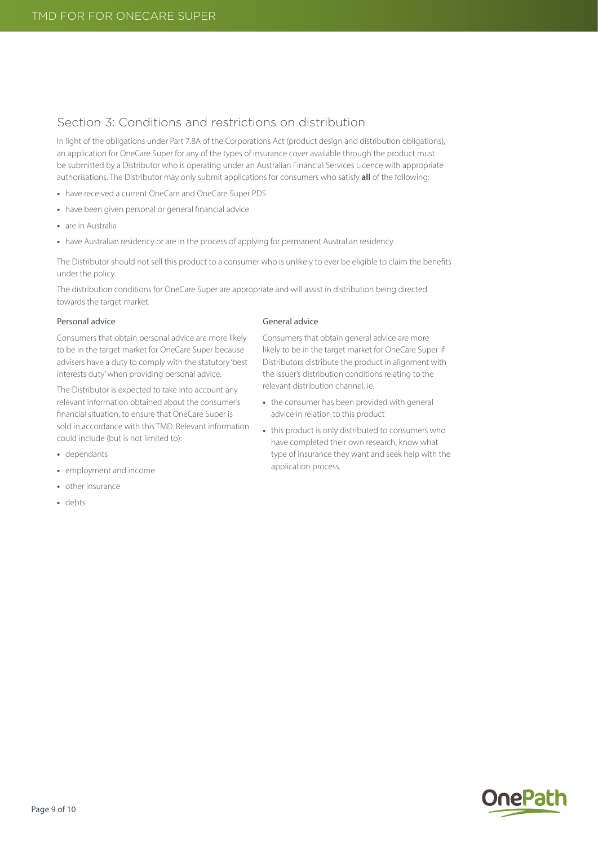# Section 3: Conditions and restrictions on distribution

In light of the obligations under Part 7.8A of the Corporations Act (product design and distribution obligations), an application for OneCare Super for any of the types of insurance cover available through the product must be submitted by a Distributor who is operating under an Australian Financial Services Licence with appropriate authorisations. The Distributor may only submit applications for consumers who satisfy **all** of the following:

- **•** have received a current OneCare and OneCare Super PDS
- **•** have been given personal or general financial advice
- **•** are in Australia
- **•** have Australian residency or are in the process of applying for permanent Australian residency.

The Distributor should not sell this product to a consumer who is unlikely to ever be eligible to claim the benefits under the policy.

The distribution conditions for OneCare Super are appropriate and will assist in distribution being directed towards the target market.

#### Personal advice

Consumers that obtain personal advice are more likely to be in the target market for OneCare Super because advisers have a duty to comply with the statutory 'best interests duty' when providing personal advice.

The Distributor is expected to take into account any relevant information obtained about the consumer's financial situation, to ensure that OneCare Super is sold in accordance with this TMD. Relevant information could include (but is not limited to):

- **•** dependants
- **•** employment and income
- **•** other insurance
- **•** debts.

## General advice

Consumers that obtain general advice are more likely to be in the target market for OneCare Super if Distributors distribute the product in alignment with the issuer's distribution conditions relating to the relevant distribution channel, ie.

- **•** the consumer has been provided with general advice in relation to this product
- **•** this product is only distributed to consumers who have completed their own research, know what type of insurance they want and seek help with the application process.